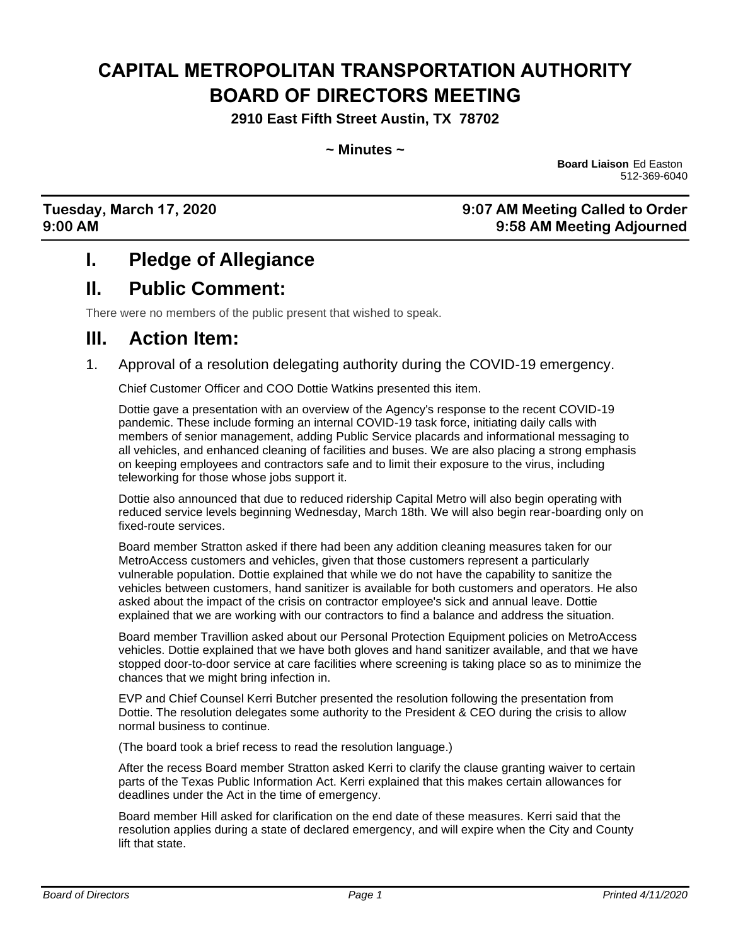# **CAPITAL METROPOLITAN TRANSPORTATION AUTHORITY BOARD OF DIRECTORS MEETING**

**2910 East Fifth Street Austin, TX 78702**

**~ Minutes ~**

**Board Liaison** Ed Easton 512-369-6040

#### **Tuesday, March 17, 2020 9:07 AM Meeting Called to Order 9:00 AM 9:58 AM Meeting Adjourned**

#### **I. Pledge of Allegiance**

#### **II. Public Comment:**

There were no members of the public present that wished to speak.

#### **III. Action Item:**

1. Approval of a resolution delegating authority during the COVID-19 emergency.

Chief Customer Officer and COO Dottie Watkins presented this item.

Dottie gave a presentation with an overview of the Agency's response to the recent COVID-19 pandemic. These include forming an internal COVID-19 task force, initiating daily calls with members of senior management, adding Public Service placards and informational messaging to all vehicles, and enhanced cleaning of facilities and buses. We are also placing a strong emphasis on keeping employees and contractors safe and to limit their exposure to the virus, including teleworking for those whose jobs support it.

Dottie also announced that due to reduced ridership Capital Metro will also begin operating with reduced service levels beginning Wednesday, March 18th. We will also begin rear-boarding only on fixed-route services.

Board member Stratton asked if there had been any addition cleaning measures taken for our MetroAccess customers and vehicles, given that those customers represent a particularly vulnerable population. Dottie explained that while we do not have the capability to sanitize the vehicles between customers, hand sanitizer is available for both customers and operators. He also asked about the impact of the crisis on contractor employee's sick and annual leave. Dottie explained that we are working with our contractors to find a balance and address the situation.

Board member Travillion asked about our Personal Protection Equipment policies on MetroAccess vehicles. Dottie explained that we have both gloves and hand sanitizer available, and that we have stopped door-to-door service at care facilities where screening is taking place so as to minimize the chances that we might bring infection in.

EVP and Chief Counsel Kerri Butcher presented the resolution following the presentation from Dottie. The resolution delegates some authority to the President & CEO during the crisis to allow normal business to continue.

(The board took a brief recess to read the resolution language.)

After the recess Board member Stratton asked Kerri to clarify the clause granting waiver to certain parts of the Texas Public Information Act. Kerri explained that this makes certain allowances for deadlines under the Act in the time of emergency.

Board member Hill asked for clarification on the end date of these measures. Kerri said that the resolution applies during a state of declared emergency, and will expire when the City and County lift that state.